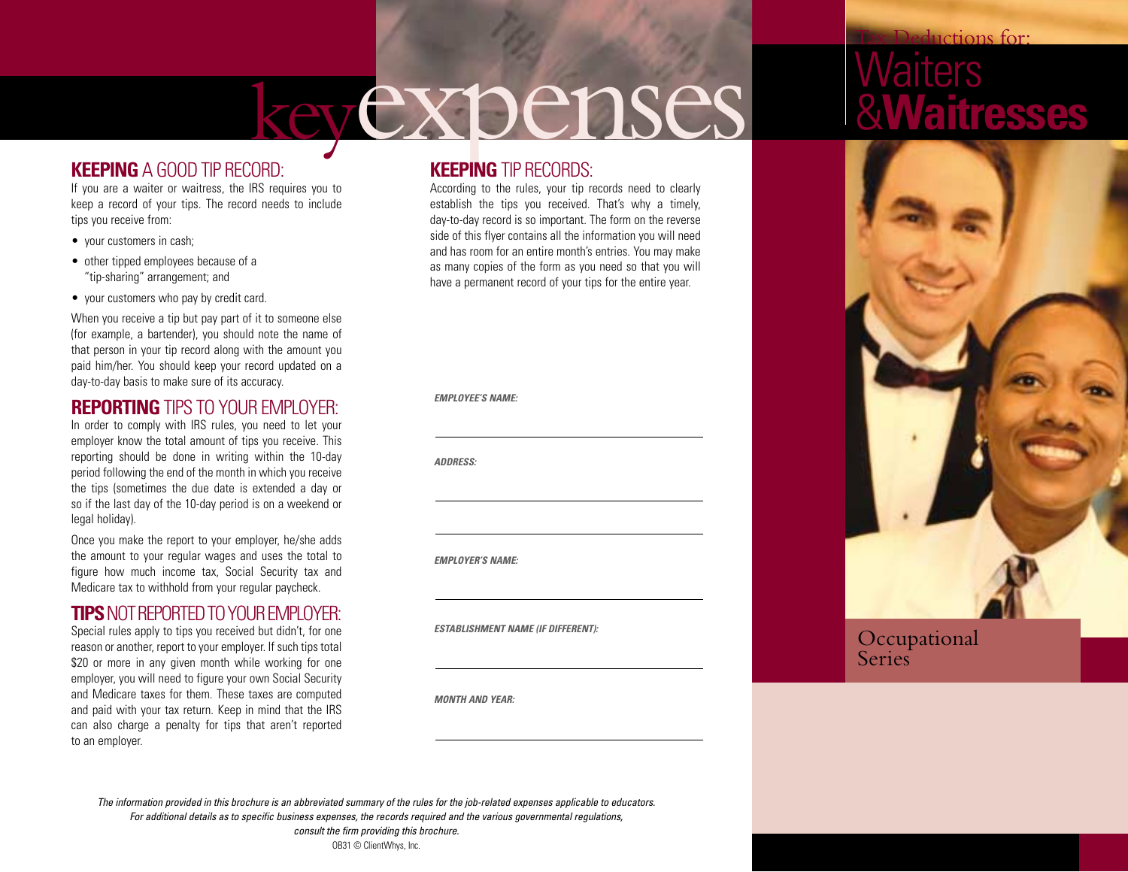# keyexpenses

#### **KEEPING** A GOOD TIP RECORD:

If you are a waiter or waitress, the IRS requires you to keep a record of your tips. The record needs to include tips you receive from:

- your customers in cash;
- other tipped employees because of a "tip-sharing" arrangement; and
- your customers who pay by credit card.

When you receive a tip but pay part of it to someone else (for example, a bartender), you should note the name of that person in your tip record along with the amount you paid him/her. You should keep your record updated on a day-to-day basis to make sure of its accuracy.

#### **REPORTING** TIPS TO YOUR EMPLOYER:

In order to comply with IRS rules, you need to let your employer know the total amount of tips you receive. This reporting should be done in writing within the 10-day period following the end of the month in which you receive the tips (sometimes the due date is extended a day or so if the last day of the 10-day period is on a weekend or legal holiday).

Once you make the report to your employer, he/she adds the amount to your regular wages and uses the total to figure how much income tax, Social Security tax and Medicare tax to withhold from your regular paycheck.

#### **TIPS** NOT REPORTED TO YOUR EMPLOYER:

Special rules apply to tips you received but didn't, for one reason or another, report to your employer. If such tips total \$20 or more in any given month while working for one employer, you will need to figure your own Social Security and Medicare taxes for them. These taxes are computed and paid with your tax return. Keep in mind that the IRS can also charge a penalty for tips that aren't reported to an employer.

#### **KEEPING** TIP RECORDS:

According to the rules, your tip records need to clearly establish the tips you received. That's why a timely, day-to-day record is so important. The form on the reverse side of this flyer contains all the information you will need and has room for an entire month's entries. You may make as many copies of the form as you need so that you will have a permanent record of your tips for the entire year.

*EMPLOYEE'S NAME:*

*ADDRESS:*

*EMPLOYER'S NAME:*

*ESTABLISHMENT NAME (IF DIFFERENT):*

*MONTH AND YEAR:*

### ductions for: arters &**Waitresses**



#### Occupational Series

*The information provided in this brochure is an abbreviated summary of the rules for the job-related expenses applicable to educators. For additional details as to specific business expenses, the records required and the various governmental regulations, consult the firm providing this brochure.*

OB31 © ClientWhys, Inc.